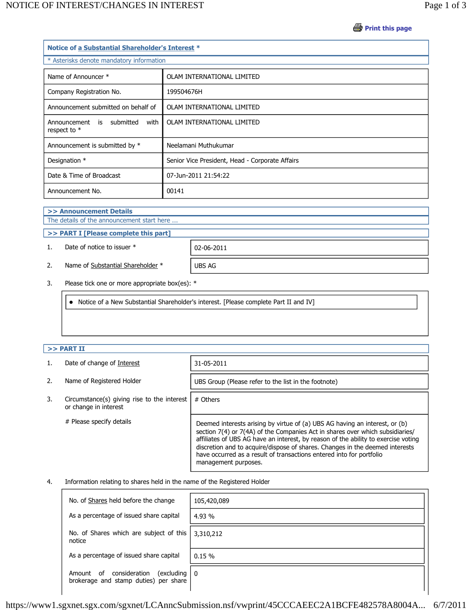**Print this page** 

| Notice of a Substantial Shareholder's Interest * |  |  |  |  |  |
|--------------------------------------------------|--|--|--|--|--|
| * Asterisks denote mandatory information         |  |  |  |  |  |
| OLAM INTERNATIONAL LIMITED                       |  |  |  |  |  |
| 199504676H                                       |  |  |  |  |  |
| OLAM INTERNATIONAL LIMITED                       |  |  |  |  |  |
| OLAM INTERNATIONAL LIMITED                       |  |  |  |  |  |
| Neelamani Muthukumar                             |  |  |  |  |  |
| Senior Vice President, Head - Corporate Affairs  |  |  |  |  |  |
| 07-Jun-2011 21:54:22                             |  |  |  |  |  |
| 00141                                            |  |  |  |  |  |
|                                                  |  |  |  |  |  |

**>> Announcement Details**

The details of the announcement start here ...

**>> PART I [Please complete this part]**

1. Date of notice to issuer \* 02-06-2011

2. Name of Substantial Shareholder \* UBS AG

3. Please tick one or more appropriate box(es): \*

Notice of a New Substantial Shareholder's interest. [Please complete Part II and IV]

## **>> PART II**

|    | Date of change of Interest                                           | 31-05-2011                                                                                                                                                                                                                                                                                                                                                                                                                         |
|----|----------------------------------------------------------------------|------------------------------------------------------------------------------------------------------------------------------------------------------------------------------------------------------------------------------------------------------------------------------------------------------------------------------------------------------------------------------------------------------------------------------------|
| 2. | Name of Registered Holder                                            | UBS Group (Please refer to the list in the footnote)                                                                                                                                                                                                                                                                                                                                                                               |
| 3. | Circumstance(s) giving rise to the interest<br>or change in interest | # Others                                                                                                                                                                                                                                                                                                                                                                                                                           |
|    | # Please specify details                                             | Deemed interests arising by virtue of (a) UBS AG having an interest, or (b)<br>section 7(4) or 7(4A) of the Companies Act in shares over which subsidiaries/<br>affiliates of UBS AG have an interest, by reason of the ability to exercise voting<br>discretion and to acquire/dispose of shares. Changes in the deemed interests<br>have occurred as a result of transactions entered into for portfolio<br>management purposes. |

## 4. Information relating to shares held in the name of the Registered Holder

| No. of Shares held before the change                                                | 105,420,089 |
|-------------------------------------------------------------------------------------|-------------|
| As a percentage of issued share capital                                             | 4.93 %      |
| No. of Shares which are subject of this<br>notice                                   | 3,310,212   |
| As a percentage of issued share capital                                             | 0.15%       |
| consideration<br>(excluding  <br>Amount of<br>brokerage and stamp duties) per share | ΙO          |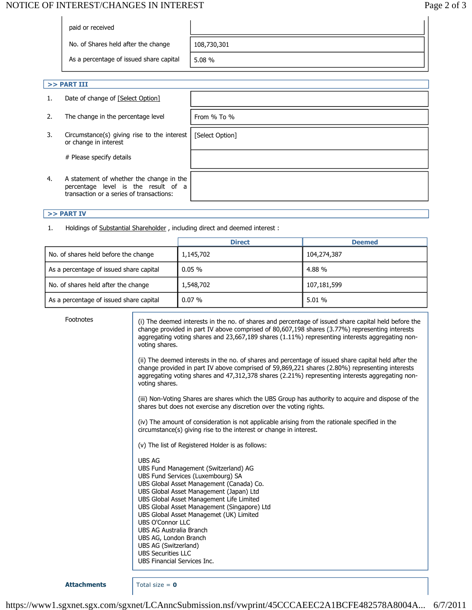# NOTICE OF INTEREST/CHANGES IN INTEREST **Page 2 of 3**

| paid or received                        |             |
|-----------------------------------------|-------------|
| No. of Shares held after the change     | 108,730,301 |
| As a percentage of issued share capital | 5.08%       |
|                                         |             |

[Select Option]

- **>> PART III**
- 1. Date of change of [Select Option]
- 2. The change in the percentage level  $\vert$  From % To %
- 3. Circumstance(s) giving rise to the interest or change in interest

# Please specify details

4. A statement of whether the change in the percentage level is the result of a transaction or a series of transactions:

### **>> PART IV**

1. Holdings of Substantial Shareholder , including direct and deemed interest :

|                                         | <b>Direct</b> | <b>Deemed</b> |
|-----------------------------------------|---------------|---------------|
| No. of shares held before the change    | 1,145,702     | 104,274,387   |
| As a percentage of issued share capital | $0.05 \%$     | 4.88%         |
| No. of shares held after the change     | 1,548,702     | 107,181,599   |
| As a percentage of issued share capital | $0.07\%$      | 5.01%         |

Footnotes (i) The deemed interests in the no. of shares and percentage of issued share capital held before the change provided in part IV above comprised of 80,607,198 shares (3.77%) representing interests aggregating voting shares and 23,667,189 shares (1.11%) representing interests aggregating nonvoting shares.

> (ii) The deemed interests in the no. of shares and percentage of issued share capital held after the change provided in part IV above comprised of 59,869,221 shares (2.80%) representing interests aggregating voting shares and 47,312,378 shares (2.21%) representing interests aggregating nonvoting shares.

> (iii) Non-Voting Shares are shares which the UBS Group has authority to acquire and dispose of the shares but does not exercise any discretion over the voting rights.

(iv) The amount of consideration is not applicable arising from the rationale specified in the circumstance(s) giving rise to the interest or change in interest.

(v) The list of Registered Holder is as follows:

UBS AG UBS Fund Management (Switzerland) AG UBS Fund Services (Luxembourg) SA UBS Global Asset Management (Canada) Co. UBS Global Asset Management (Japan) Ltd UBS Global Asset Management Life Limited UBS Global Asset Management (Singapore) Ltd UBS Global Asset Managemet (UK) Limited UBS O'Connor LLC UBS AG Australia Branch UBS AG, London Branch UBS AG (Switzerland) UBS Securities LLC UBS Financial Services Inc.

**Attachments** Total size = **0**